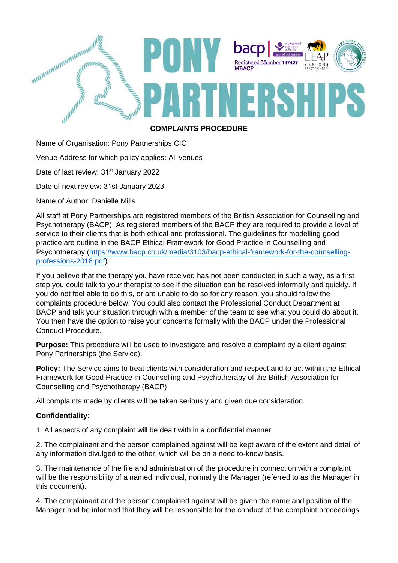

## **COMPLAINTS PROCEDURE**

Name of Organisation: Pony Partnerships CIC

Venue Address for which policy applies: All venues

Date of last review: 31<sup>st</sup> January 2022

Date of next review: 31st January 2023

Name of Author: Danielle Mills

All staff at Pony Partnerships are registered members of the British Association for Counselling and Psychotherapy (BACP). As registered members of the BACP they are required to provide a level of service to their clients that is both ethical and professional. The guidelines for modelling good practice are outline in the BACP Ethical Framework for Good Practice in Counselling and Psychotherapy (https://www.bacp.co.uk/media/3103/bacp-ethical-framework-for-the-counsellingprofessions-2018.pdf)

If you believe that the therapy you have received has not been conducted in such a way, as a first step you could talk to your therapist to see if the situation can be resolved informally and quickly. If you do not feel able to do this, or are unable to do so for any reason, you should follow the complaints procedure below. You could also contact the Professional Conduct Department at BACP and talk your situation through with a member of the team to see what you could do about it. You then have the option to raise your concerns formally with the BACP under the Professional Conduct Procedure.

**Purpose:** This procedure will be used to investigate and resolve a complaint by a client against Pony Partnerships (the Service).

Policy: The Service aims to treat clients with consideration and respect and to act within the Ethical Framework for Good Practice in Counselling and Psychotherapy of the British Association for Counselling and Psychotherapy (BACP)

All complaints made by clients will be taken seriously and given due consideration.

## **Confidentiality:**

1. All aspects of any complaint will be dealt with in a confidential manner.

2. The complainant and the person complained against will be kept aware of the extent and detail of any information divulged to the other, which will be on a need to-know basis.

3. The maintenance of the file and administration of the procedure in connection with a complaint will be the responsibility of a named individual, normally the Manager (referred to as the Manager in this document).

4. The complainant and the person complained against will be given the name and position of the Manager and be informed that they will be responsible for the conduct of the complaint proceedings.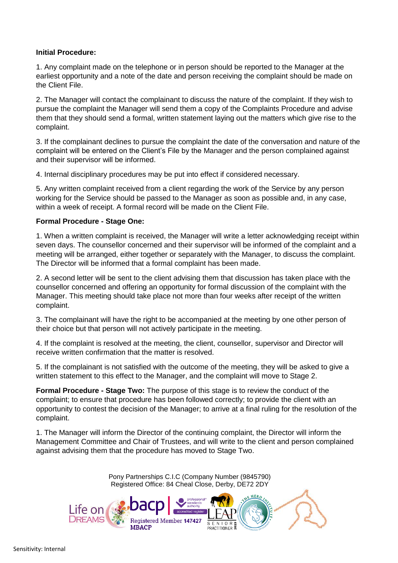## **Initial Procedure:**

1. Any complaint made on the telephone or in person should be reported to the Manager at the earliest opportunity and a note of the date and person receiving the complaint should be made on the Client File.

2. The Manager will contact the complainant to discuss the nature of the complaint. If they wish to pursue the complaint the Manager will send them a copy of the Complaints Procedure and advise them that they should send a formal, written statement laying out the matters which give rise to the complaint.

3. If the complainant declines to pursue the complaint the date of the conversation and nature of the complaint will be entered on the Client's File by the Manager and the person complained against and their supervisor will be informed.

4. Internal disciplinary procedures may be put into effect if considered necessary.

5. Any written complaint received from a client regarding the work of the Service by any person working for the Service should be passed to the Manager as soon as possible and, in any case, within a week of receipt. A formal record will be made on the Client File.

## **Formal Procedure - Stage One:**

1. When a written complaint is received, the Manager will write a letter acknowledging receipt within seven days. The counsellor concerned and their supervisor will be informed of the complaint and a meeting will be arranged, either together or separately with the Manager, to discuss the complaint. The Director will be informed that a formal complaint has been made.

2. A second letter will be sent to the client advising them that discussion has taken place with the counsellor concerned and offering an opportunity for formal discussion of the complaint with the Manager. This meeting should take place not more than four weeks after receipt of the written complaint.

3. The complainant will have the right to be accompanied at the meeting by one other person of their choice but that person will not actively participate in the meeting.

4. If the complaint is resolved at the meeting, the client, counsellor, supervisor and Director will receive written confirmation that the matter is resolved.

5. If the complainant is not satisfied with the outcome of the meeting, they will be asked to give a written statement to this effect to the Manager, and the complaint will move to Stage 2.

**Formal Procedure - Stage Two:** The purpose of this stage is to review the conduct of the complaint; to ensure that procedure has been followed correctly; to provide the client with an opportunity to contest the decision of the Manager; to arrive at a final ruling for the resolution of the complaint.

1. The Manager will inform the Director of the continuing complaint, the Director will inform the Management Committee and Chair of Trustees, and will write to the client and person complained against advising them that the procedure has moved to Stage Two.

> Pony Partnerships C.I.C (Company Number (9845790) Registered Office: 84 Cheal Close, Derby, DE72 2DY